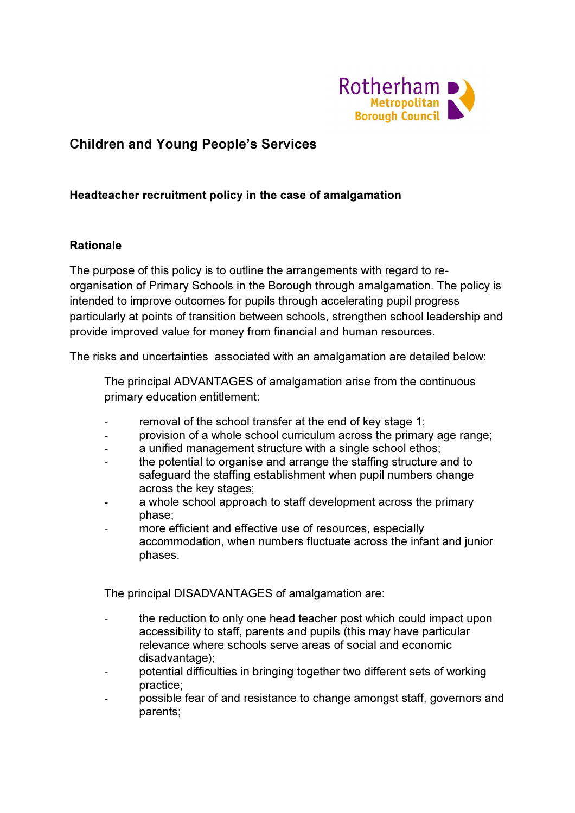

# Children and Young People's Services

#### Headteacher recruitment policy in the case of amalgamation

#### Rationale

The purpose of this policy is to outline the arrangements with regard to reorganisation of Primary Schools in the Borough through amalgamation. The policy is intended to improve outcomes for pupils through accelerating pupil progress particularly at points of transition between schools, strengthen school leadership and provide improved value for money from financial and human resources.

The risks and uncertainties associated with an amalgamation are detailed below:

 The principal ADVANTAGES of amalgamation arise from the continuous primary education entitlement:

- removal of the school transfer at the end of key stage 1;
- provision of a whole school curriculum across the primary age range;
- a unified management structure with a single school ethos;
- the potential to organise and arrange the staffing structure and to safeguard the staffing establishment when pupil numbers change across the key stages;
- a whole school approach to staff development across the primary phase;
- more efficient and effective use of resources, especially accommodation, when numbers fluctuate across the infant and junior phases.

The principal DISADVANTAGES of amalgamation are:

- the reduction to only one head teacher post which could impact upon accessibility to staff, parents and pupils (this may have particular relevance where schools serve areas of social and economic disadvantage);
- potential difficulties in bringing together two different sets of working practice;
- possible fear of and resistance to change amongst staff, governors and parents;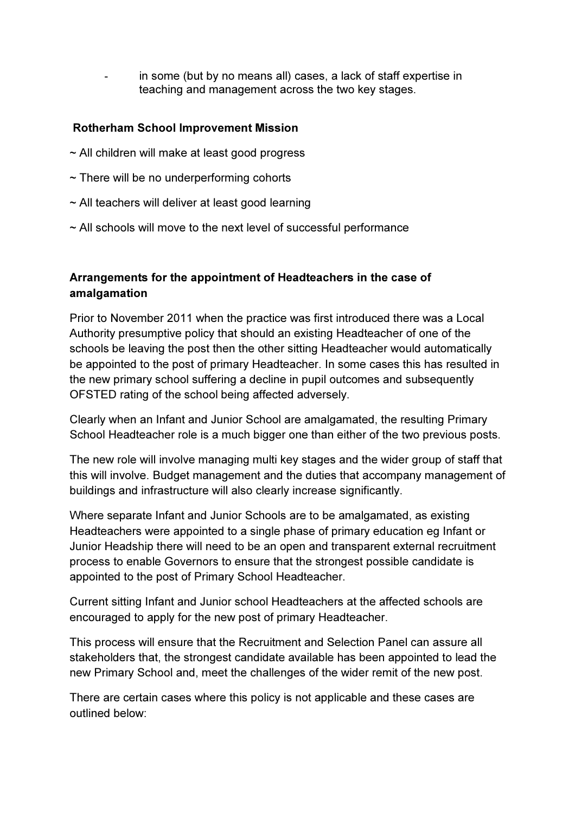in some (but by no means all) cases, a lack of staff expertise in teaching and management across the two key stages.

### Rotherham School Improvement Mission

- ~ All children will make at least good progress
- $\sim$  There will be no underperforming cohorts
- $\sim$  All teachers will deliver at least good learning
- ~ All schools will move to the next level of successful performance

# Arrangements for the appointment of Headteachers in the case of amalgamation

Prior to November 2011 when the practice was first introduced there was a Local Authority presumptive policy that should an existing Headteacher of one of the schools be leaving the post then the other sitting Headteacher would automatically be appointed to the post of primary Headteacher. In some cases this has resulted in the new primary school suffering a decline in pupil outcomes and subsequently OFSTED rating of the school being affected adversely.

Clearly when an Infant and Junior School are amalgamated, the resulting Primary School Headteacher role is a much bigger one than either of the two previous posts.

The new role will involve managing multi key stages and the wider group of staff that this will involve. Budget management and the duties that accompany management of buildings and infrastructure will also clearly increase significantly.

Where separate Infant and Junior Schools are to be amalgamated, as existing Headteachers were appointed to a single phase of primary education eg Infant or Junior Headship there will need to be an open and transparent external recruitment process to enable Governors to ensure that the strongest possible candidate is appointed to the post of Primary School Headteacher.

Current sitting Infant and Junior school Headteachers at the affected schools are encouraged to apply for the new post of primary Headteacher.

This process will ensure that the Recruitment and Selection Panel can assure all stakeholders that, the strongest candidate available has been appointed to lead the new Primary School and, meet the challenges of the wider remit of the new post.

There are certain cases where this policy is not applicable and these cases are outlined below: